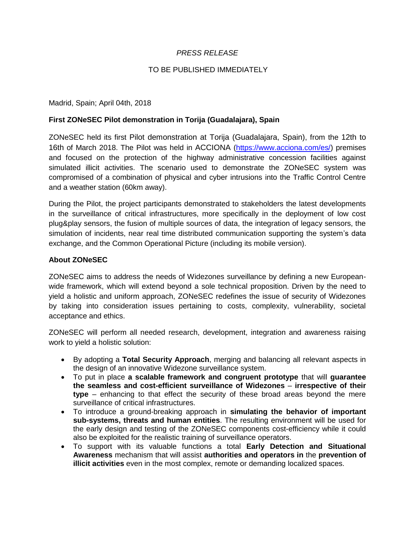# *PRESS RELEASE*

## TO BE PUBLISHED IMMEDIATELY

### Madrid, Spain; April 04th, 2018

### **First ZONeSEC Pilot demonstration in Torija (Guadalajara), Spain**

ZONeSEC held its first Pilot demonstration at Torija (Guadalajara, Spain), from the 12th to 16th of March 2018. The Pilot was held in ACCIONA (https://www.acciona.com/es/) premises and focused on the protection of the highway administrative concession facilities against simulated illicit activities. The scenario used to demonstrate the ZONeSEC system was compromised of a combination of physical and cyber intrusions into the Traffic Control Centre and a weather station (60km away).

During the Pilot, the project participants demonstrated to stakeholders the latest developments in the surveillance of critical infrastructures, more specifically in the deployment of low cost plug&play sensors, the fusion of multiple sources of data, the integration of legacy sensors, the simulation of incidents, near real time distributed communication supporting the system's data exchange, and the Common Operational Picture (including its mobile version).

#### **About ZONeSEC**

ZONeSEC aims to address the needs of Widezones surveillance by defining a new Europeanwide framework, which will extend beyond a sole technical proposition. Driven by the need to yield a holistic and uniform approach, ZONeSEC redefines the issue of security of Widezones by taking into consideration issues pertaining to costs, complexity, vulnerability, societal acceptance and ethics.

ZONeSEC will perform all needed research, development, integration and awareness raising work to yield a holistic solution:

- By adopting a **Total Security Approach**, merging and balancing all relevant aspects in the design of an innovative Widezone surveillance system.
- To put in place **a scalable framework and congruent prototype** that will **guarantee the seamless and cost-efficient surveillance of Widezones** – **irrespective of their type** – enhancing to that effect the security of these broad areas beyond the mere surveillance of critical infrastructures.
- To introduce a ground-breaking approach in **simulating the behavior of important sub-systems, threats and human entities**. The resulting environment will be used for the early design and testing of the ZONeSEC components cost-efficiency while it could also be exploited for the realistic training of surveillance operators.
- To support with its valuable functions a total **Early Detection and Situational Awareness** mechanism that will assist **authorities and operators in** the **prevention of illicit activities** even in the most complex, remote or demanding localized spaces.